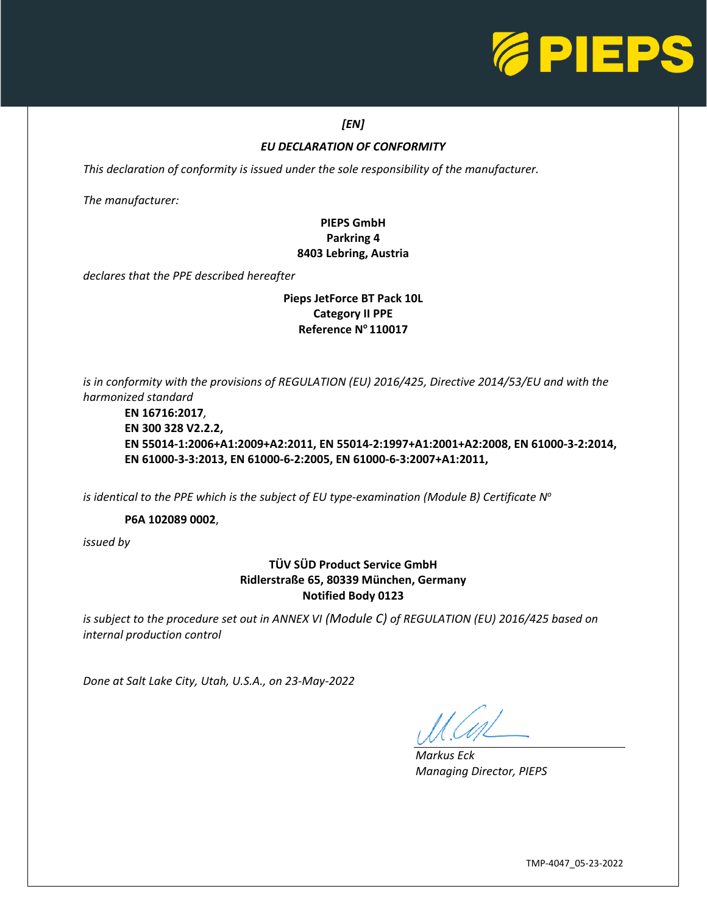

### *[EN]*

### *EU DECLARATION OF CONFORMITY*

*This declaration of conformity is issued under the sole responsibility of the manufacturer.* 

*The manufacturer:*

## **PIEPS GmbH Parkring 4 8403 Lebring, Austria**

*declares that the PPE described hereafter*

#### **Pieps JetForce BT Pack 10L Category II PPE Reference N<sup>o</sup>110017**

*is in conformity with the provisions of REGULATION (EU) 2016/425, Directive 2014/53/EU and with the harmonized standard*

**EN 16716:2017***,* **EN 300 328 V2.2.2, EN 55014-1:2006+A1:2009+A2:2011, EN 55014-2:1997+A1:2001+A2:2008, EN 61000-3-2:2014, EN 61000-3-3:2013, EN 61000-6-2:2005, EN 61000-6-3:2007+A1:2011,**

*is identical to the PPE which is the subject of EU type-examination (Module B) Certificate N o*

**P6A 102089 0002**,

*issued by*

### **TÜV SÜD Product Service GmbH Ridlerstraße 65, 80339 München, Germany Notified Body 0123**

*is subject to the procedure set out in ANNEX VI (Module C) of REGULATION (EU) 2016/425 based on internal production control*

*Done at Salt Lake City, Utah, U.S.A., on 23-May-2022*

L

*Markus Eck Managing Director, PIEPS*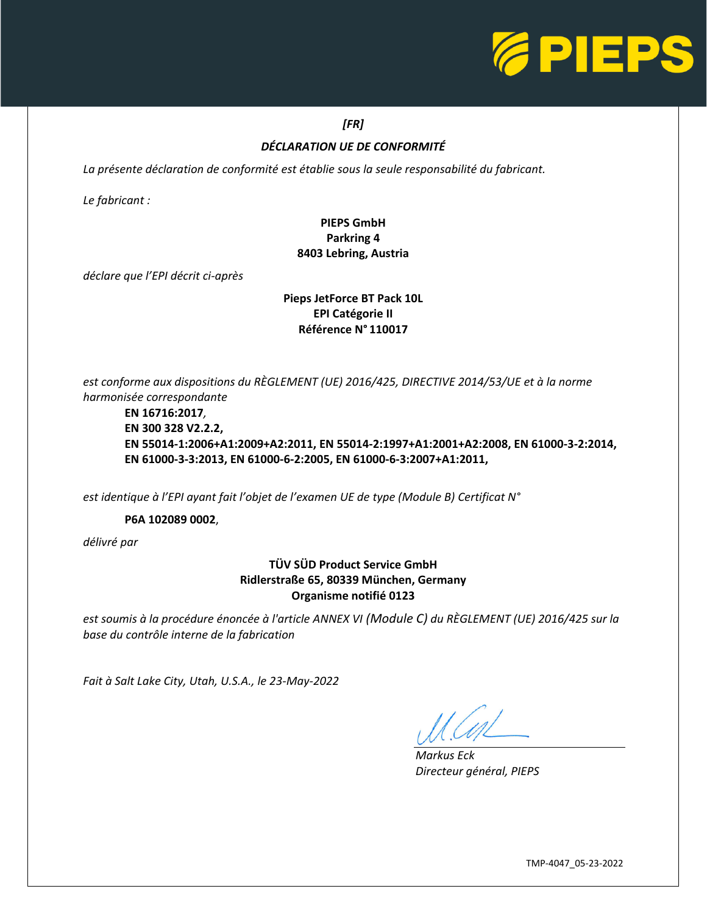

## *[FR]*

## *DÉCLARATION UE DE CONFORMITÉ*

La présente déclaration de conformité est établie sous la seule responsabilité du fabricant.

*Le fabricant :*

## **PIEPS GmbH Parkring 4 8403 Lebring, Austria**

*déclare que l'EPI décrit ci-après*

#### **Pieps JetForce BT Pack 10L EPI Catégorie II Référence N° 110017**

*est conforme aux dispositions du RÈGLEMENT (UE) 2016/425, DIRECTIVE 2014/53/UE et à la norme harmonisée correspondante*

**EN 16716:2017***,* **EN 300 328 V2.2.2, EN 55014-1:2006+A1:2009+A2:2011, EN 55014-2:1997+A1:2001+A2:2008, EN 61000-3-2:2014, EN 61000-3-3:2013, EN 61000-6-2:2005, EN 61000-6-3:2007+A1:2011,**

*est identique à l'EPI ayant fait l'objet de l'examen UE de type (Module B) Certificat N°*

**P6A 102089 0002**,

*délivré par*

## **TÜV SÜD Product Service GmbH Ridlerstraße 65, 80339 München, Germany Organisme notifié 0123**

*est soumis à la procédure énoncée à l'article ANNEX VI (Module C) du RÈGLEMENT (UE) 2016/425 sur la base du contrôle interne de la fabrication*

*Fait à Salt Lake City, Utah, U.S.A., le 23-May-2022*

L

*Markus Eck Directeur général, PIEPS*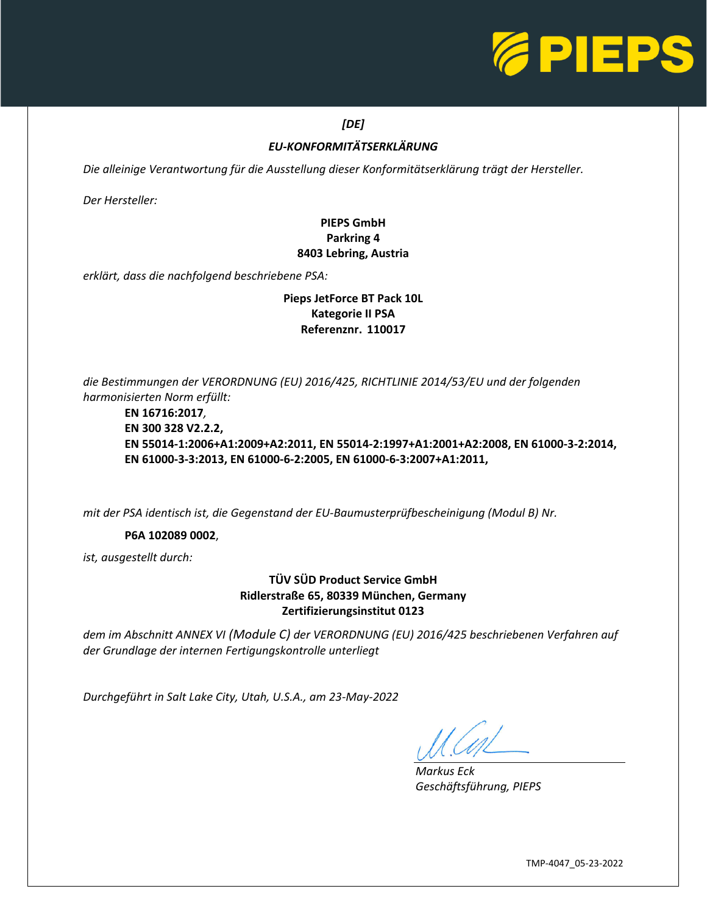

## *[DE]*

## *EU-KONFORMITÄTSERKLÄRUNG*

*Die alleinige Verantwortung für die Ausstellung dieser Konformitätserklärung trägt der Hersteller.* 

*Der Hersteller:*

## **PIEPS GmbH Parkring 4 8403 Lebring, Austria**

*erklärt, dass die nachfolgend beschriebene PSA:*

#### **Pieps JetForce BT Pack 10L Kategorie II PSA Referenznr. 110017**

*die Bestimmungen der VERORDNUNG (EU) 2016/425, RICHTLINIE 2014/53/EU und der folgenden harmonisierten Norm erfüllt:*

**EN 16716:2017***,* **EN 300 328 V2.2.2, EN 55014-1:2006+A1:2009+A2:2011, EN 55014-2:1997+A1:2001+A2:2008, EN 61000-3-2:2014, EN 61000-3-3:2013, EN 61000-6-2:2005, EN 61000-6-3:2007+A1:2011,**

*mit der PSA identisch ist, die Gegenstand der EU-Baumusterprüfbescheinigung (Modul B) Nr.*

#### **P6A 102089 0002**,

*ist, ausgestellt durch:*

### **TÜV SÜD Product Service GmbH Ridlerstraße 65, 80339 München, Germany Zertifizierungsinstitut 0123**

*dem im Abschnitt ANNEX VI (Module C) der VERORDNUNG (EU) 2016/425 beschriebenen Verfahren auf der Grundlage der internen Fertigungskontrolle unterliegt*

*Durchgeführt in Salt Lake City, Utah, U.S.A., am 23-May-2022*

L

*Markus Eck Geschäftsführung, PIEPS*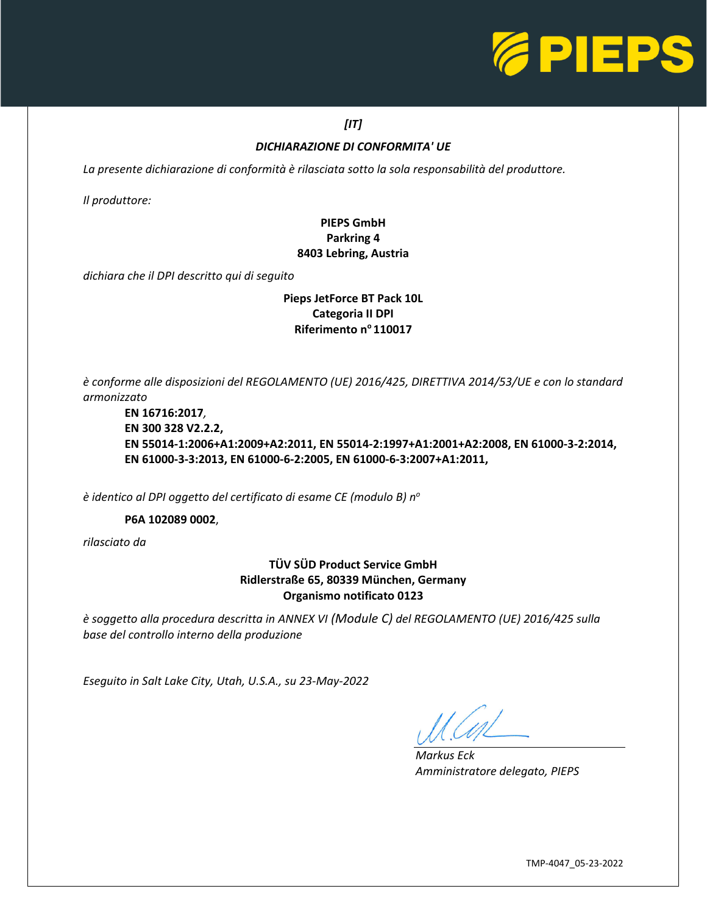

## *[IT]*

#### *DICHIARAZIONE DI CONFORMITA' UE*

*La presente dichiarazione di conformità è rilasciata sotto la sola responsabilità del produttore.* 

*Il produttore:*

## **PIEPS GmbH Parkring 4 8403 Lebring, Austria**

*dichiara che il DPI descritto qui di seguito*

#### **Pieps JetForce BT Pack 10L Categoria II DPI Riferimento n<sup>o</sup>110017**

*è conforme alle disposizioni del REGOLAMENTO (UE) 2016/425, DIRETTIVA 2014/53/UE e con lo standard armonizzato*

**EN 16716:2017***,* **EN 300 328 V2.2.2, EN 55014-1:2006+A1:2009+A2:2011, EN 55014-2:1997+A1:2001+A2:2008, EN 61000-3-2:2014, EN 61000-3-3:2013, EN 61000-6-2:2005, EN 61000-6-3:2007+A1:2011,**

*è identico al DPI oggetto del certificato di esame CE (modulo B) n<sup>o</sup>*

**P6A 102089 0002**,

*rilasciato da*

## **TÜV SÜD Product Service GmbH Ridlerstraße 65, 80339 München, Germany Organismo notificato 0123**

*è soggetto alla procedura descritta in ANNEX VI (Module C) del REGOLAMENTO (UE) 2016/425 sulla base del controllo interno della produzione*

*Eseguito in Salt Lake City, Utah, U.S.A., su 23-May-2022*

L

*Markus Eck Amministratore delegato, PIEPS*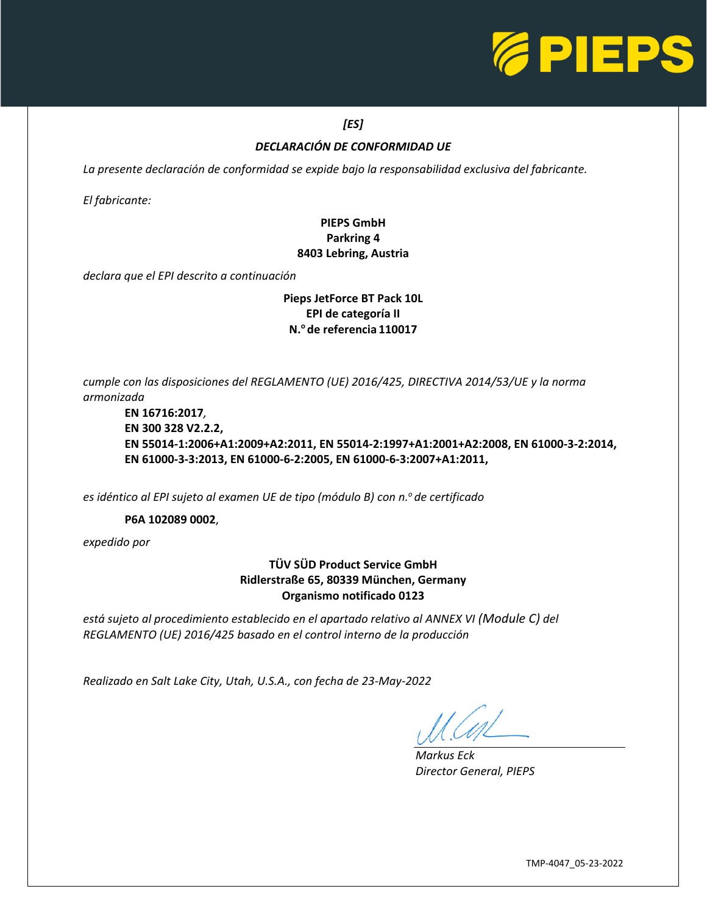

## *[ES]*

### *DECLARACIÓN DE CONFORMIDAD UE*

*La presente declaración de conformidad se expide bajo la responsabilidad exclusiva del fabricante.* 

*El fabricante:*

## **PIEPS GmbH Parkring 4 8403 Lebring, Austria**

*declara que el EPI descrito a continuación*

#### **Pieps JetForce BT Pack 10L EPI de categoría II N.<sup>o</sup>de referencia 110017**

*cumple con las disposiciones del REGLAMENTO (UE) 2016/425, DIRECTIVA 2014/53/UE y la norma armonizada*

**EN 16716:2017***,* **EN 300 328 V2.2.2, EN 55014-1:2006+A1:2009+A2:2011, EN 55014-2:1997+A1:2001+A2:2008, EN 61000-3-2:2014, EN 61000-3-3:2013, EN 61000-6-2:2005, EN 61000-6-3:2007+A1:2011,**

*es idéntico al EPI sujeto al examen UE de tipo (módulo B) con n.<sup>o</sup>de certificado*

#### **P6A 102089 0002**,

*expedido por*

## **TÜV SÜD Product Service GmbH Ridlerstraße 65, 80339 München, Germany Organismo notificado 0123**

*está sujeto al procedimiento establecido en el apartado relativo al ANNEX VI (Module C) del REGLAMENTO (UE) 2016/425 basado en el control interno de la producción*

*Realizado en Salt Lake City, Utah, U.S.A., con fecha de 23-May-2022*

L

*Markus Eck Director General, PIEPS*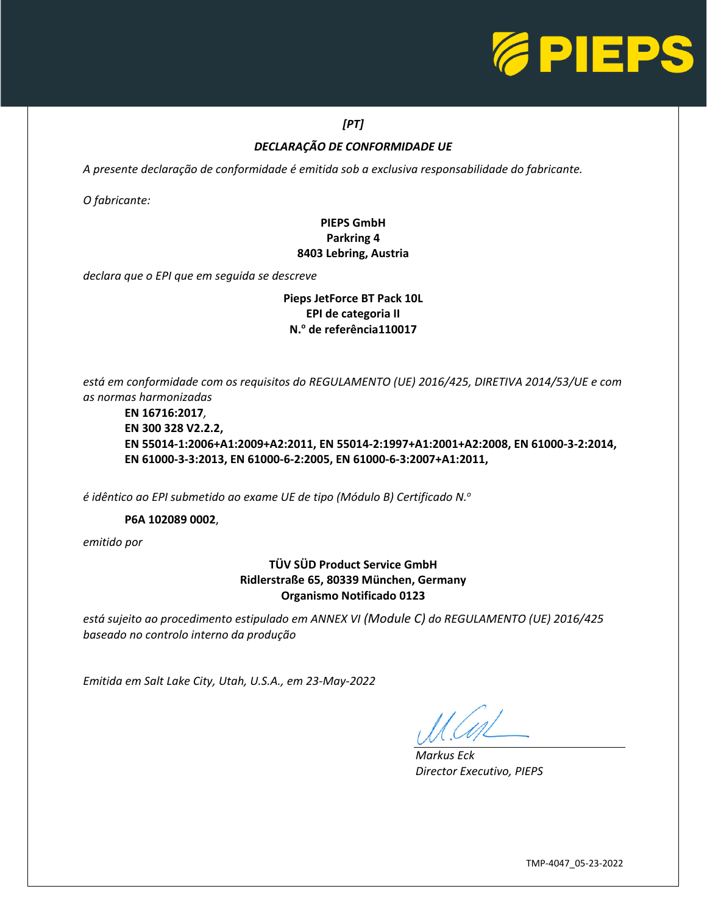

## *[PT]*

## *DECLARAÇÃO DE CONFORMIDADE UE*

*A presente declaração de conformidade é emitida sob a exclusiva responsabilidade do fabricante.* 

*O fabricante:*

## **PIEPS GmbH Parkring 4 8403 Lebring, Austria**

*declara que o EPI que em seguida se descreve*

## **Pieps JetForce BT Pack 10L EPI de categoria II N.<sup>o</sup> de referência110017**

*está em conformidade com os requisitos do REGULAMENTO (UE) 2016/425, DIRETIVA 2014/53/UE e com as normas harmonizadas*

**EN 16716:2017***,* **EN 300 328 V2.2.2, EN 55014-1:2006+A1:2009+A2:2011, EN 55014-2:1997+A1:2001+A2:2008, EN 61000-3-2:2014, EN 61000-3-3:2013, EN 61000-6-2:2005, EN 61000-6-3:2007+A1:2011,**

*é idêntico ao EPI submetido ao exame UE de tipo (Módulo B) Certificado N.<sup>o</sup>*

**P6A 102089 0002**,

*emitido por*

## **TÜV SÜD Product Service GmbH Ridlerstraße 65, 80339 München, Germany Organismo Notificado 0123**

*está sujeito ao procedimento estipulado em ANNEX VI (Module C) do REGULAMENTO (UE) 2016/425 baseado no controlo interno da produção*

*Emitida em Salt Lake City, Utah, U.S.A., em 23-May-2022*

L

*Markus Eck Director Executivo, PIEPS*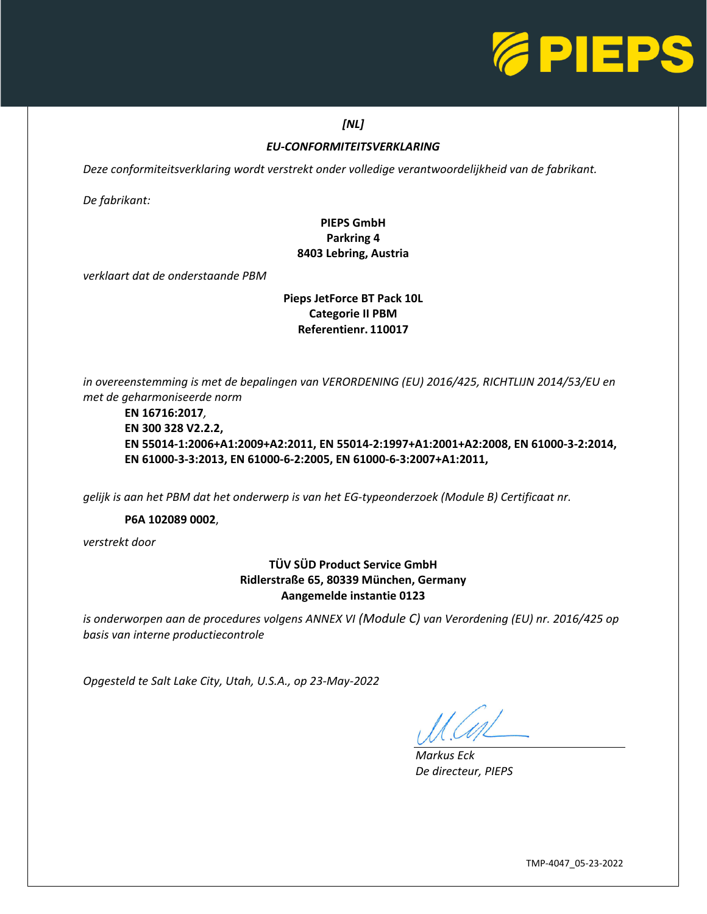

#### *[NL]*

## *EU-CONFORMITEITSVERKLARING*

*Deze conformiteitsverklaring wordt verstrekt onder volledige verantwoordelijkheid van de fabrikant.* 

*De fabrikant:*

## **PIEPS GmbH Parkring 4 8403 Lebring, Austria**

*verklaart dat de onderstaande PBM*

### **Pieps JetForce BT Pack 10L Categorie II PBM Referentienr. 110017**

*in overeenstemming is met de bepalingen van VERORDENING (EU) 2016/425, RICHTLIJN 2014/53/EU en met de geharmoniseerde norm*

#### **EN 16716:2017***,* **EN 300 328 V2.2.2, EN 55014-1:2006+A1:2009+A2:2011, EN 55014-2:1997+A1:2001+A2:2008, EN 61000-3-2:2014, EN 61000-3-3:2013, EN 61000-6-2:2005, EN 61000-6-3:2007+A1:2011,**

*gelijk is aan het PBM dat het onderwerp is van het EG-typeonderzoek (Module B) Certificaat nr.*

#### **P6A 102089 0002**,

*verstrekt door*

## **TÜV SÜD Product Service GmbH Ridlerstraße 65, 80339 München, Germany Aangemelde instantie 0123**

*is onderworpen aan de procedures volgens ANNEX VI (Module C) van Verordening (EU) nr. 2016/425 op basis van interne productiecontrole*

*Opgesteld te Salt Lake City, Utah, U.S.A., op 23-May-2022*

L

*Markus Eck De directeur, PIEPS*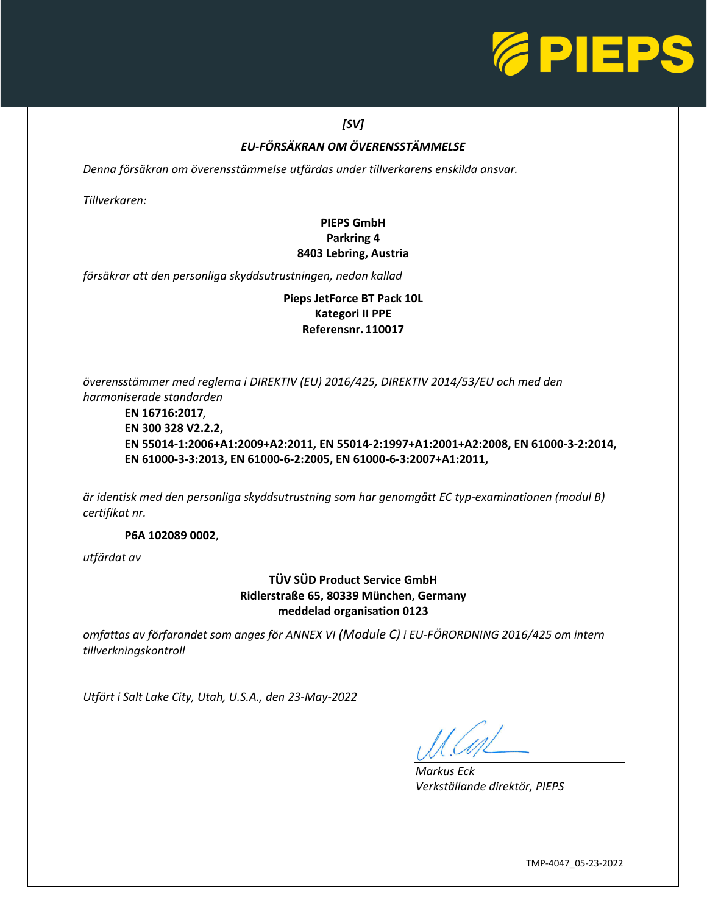

## *[SV]*

## *EU-FÖRSÄKRAN OM ÖVERENSSTÄMMELSE*

*Denna försäkran om överensstämmelse utfärdas under tillverkarens enskilda ansvar.* 

*Tillverkaren:*

## **PIEPS GmbH Parkring 4 8403 Lebring, Austria**

*försäkrar att den personliga skyddsutrustningen, nedan kallad*

**Pieps JetForce BT Pack 10L Kategori II PPE Referensnr. 110017**

*överensstämmer med reglerna i DIREKTIV (EU) 2016/425, DIREKTIV 2014/53/EU och med den harmoniserade standarden*

**EN 16716:2017***,* **EN 300 328 V2.2.2, EN 55014-1:2006+A1:2009+A2:2011, EN 55014-2:1997+A1:2001+A2:2008, EN 61000-3-2:2014, EN 61000-3-3:2013, EN 61000-6-2:2005, EN 61000-6-3:2007+A1:2011,**

*är identisk med den personliga skyddsutrustning som har genomgått EC typ-examinationen (modul B) certifikat nr.*

**P6A 102089 0002**,

*utfärdat av*

**TÜV SÜD Product Service GmbH Ridlerstraße 65, 80339 München, Germany meddelad organisation 0123**

*omfattas av förfarandet som anges för ANNEX VI (Module C) i EU-FÖRORDNING 2016/425 om intern tillverkningskontroll*

*Utfört i Salt Lake City, Utah, U.S.A., den 23-May-2022*

L

*Markus Eck Verkställande direktör, PIEPS*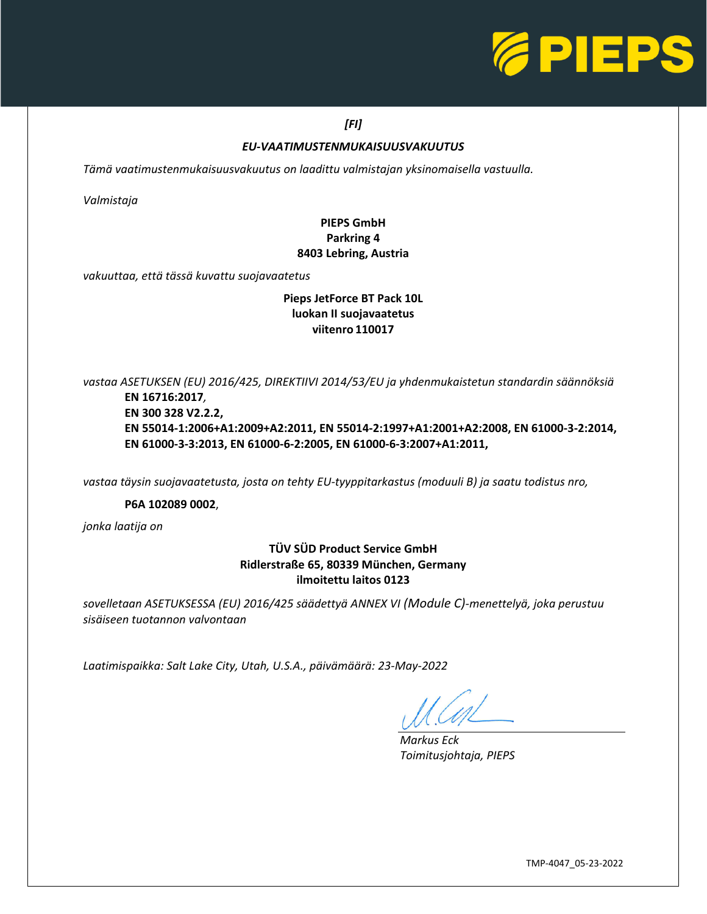

#### *[FI]*

#### *EU-VAATIMUSTENMUKAISUUSVAKUUTUS*

*Tämä vaatimustenmukaisuusvakuutus on laadittu valmistajan yksinomaisella vastuulla.* 

*Valmistaja*

## **PIEPS GmbH Parkring 4 8403 Lebring, Austria**

*vakuuttaa, että tässä kuvattu suojavaatetus*

### **Pieps JetForce BT Pack 10L luokan II suojavaatetus viitenro 110017**

*vastaa ASETUKSEN (EU) 2016/425, DIREKTIIVI 2014/53/EU ja yhdenmukaistetun standardin säännöksiä*

**EN 16716:2017***,* **EN 300 328 V2.2.2, EN 55014-1:2006+A1:2009+A2:2011, EN 55014-2:1997+A1:2001+A2:2008, EN 61000-3-2:2014, EN 61000-3-3:2013, EN 61000-6-2:2005, EN 61000-6-3:2007+A1:2011,**

*vastaa täysin suojavaatetusta, josta on tehty EU-tyyppitarkastus (moduuli B) ja saatu todistus nro,*

#### **P6A 102089 0002**,

*jonka laatija on*

## **TÜV SÜD Product Service GmbH Ridlerstraße 65, 80339 München, Germany ilmoitettu laitos 0123**

*sovelletaan ASETUKSESSA (EU) 2016/425 säädettyä ANNEX VI (Module C)-menettelyä, joka perustuu sisäiseen tuotannon valvontaan*

*Laatimispaikka: Salt Lake City, Utah, U.S.A., päivämäärä: 23-May-2022*

 $\overline{\phantom{0}}$ 

*Markus Eck Toimitusjohtaja, PIEPS*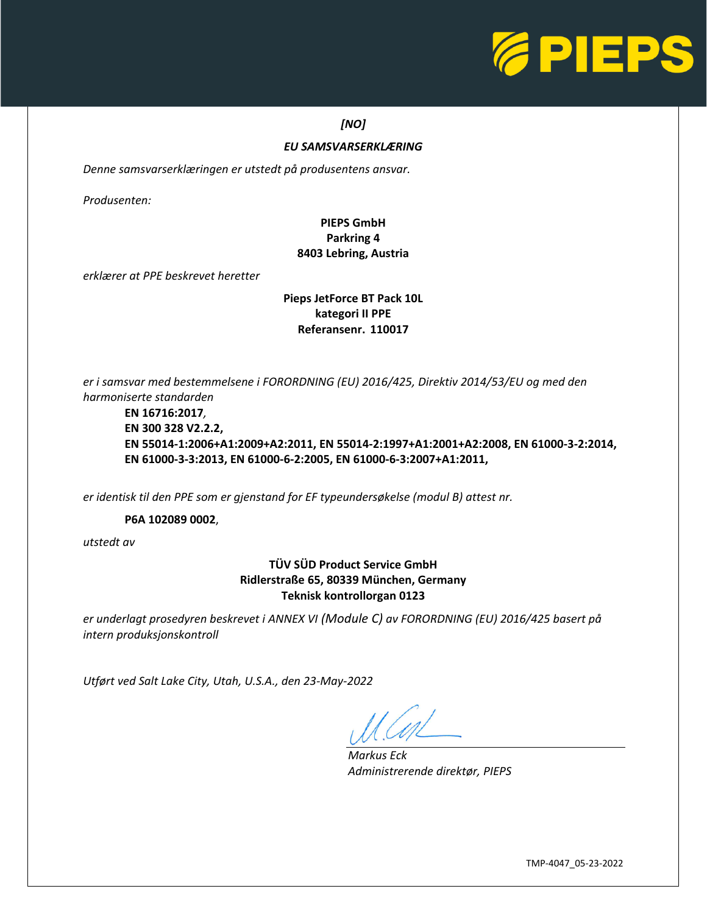

#### *[NO]*

#### *EU SAMSVARSERKLÆRING*

*Denne samsvarserklæringen er utstedt på produsentens ansvar.* 

*Produsenten:*

## **PIEPS GmbH Parkring 4 8403 Lebring, Austria**

*erklærer at PPE beskrevet heretter*

#### **Pieps JetForce BT Pack 10L kategori II PPE Referansenr. 110017**

*er i samsvar med bestemmelsene i FORORDNING (EU) 2016/425, Direktiv 2014/53/EU og med den harmoniserte standarden*

**EN 16716:2017***,* **EN 300 328 V2.2.2, EN 55014-1:2006+A1:2009+A2:2011, EN 55014-2:1997+A1:2001+A2:2008, EN 61000-3-2:2014, EN 61000-3-3:2013, EN 61000-6-2:2005, EN 61000-6-3:2007+A1:2011,**

*er identisk til den PPE som er gjenstand for EF typeundersøkelse (modul B) attest nr.*

**P6A 102089 0002**,

*utstedt av*

### **TÜV SÜD Product Service GmbH Ridlerstraße 65, 80339 München, Germany Teknisk kontrollorgan 0123**

*er underlagt prosedyren beskrevet i ANNEX VI (Module C) av FORORDNING (EU) 2016/425 basert på intern produksjonskontroll*

*Utført ved Salt Lake City, Utah, U.S.A., den 23-May-2022*

L

*Markus Eck Administrerende direktør, PIEPS*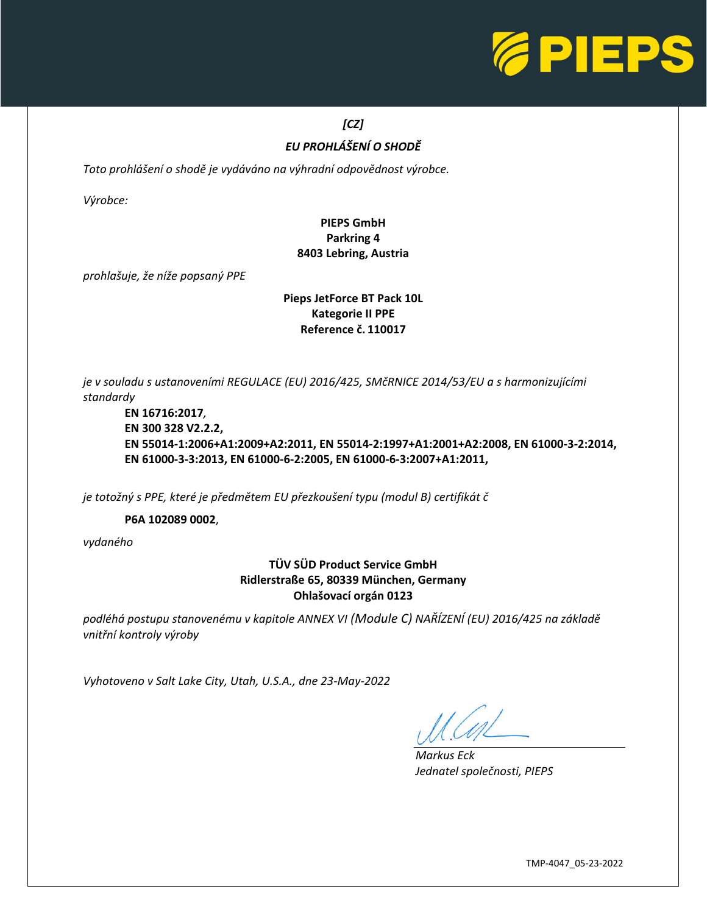

# *[CZ]*

# *EU PROHLÁŠENÍ O SHODĚ*

*Toto prohlášení o shodě je vydáváno na výhradní odpovědnost výrobce.* 

*Výrobce:*

## **PIEPS GmbH Parkring 4 8403 Lebring, Austria**

*prohlašuje, že níže popsaný PPE*

#### **Pieps JetForce BT Pack 10L Kategorie II PPE Reference č. 110017**

*je v souladu s ustanoveními REGULACE (EU) 2016/425, SMčRNICE 2014/53/EU a s harmonizujícími standardy*

**EN 16716:2017***,* **EN 300 328 V2.2.2, EN 55014-1:2006+A1:2009+A2:2011, EN 55014-2:1997+A1:2001+A2:2008, EN 61000-3-2:2014, EN 61000-3-3:2013, EN 61000-6-2:2005, EN 61000-6-3:2007+A1:2011,**

*je totožný s PPE, které je předmětem EU přezkoušení typu (modul B) certifikát č*

**P6A 102089 0002**,

*vydaného*

## **TÜV SÜD Product Service GmbH Ridlerstraße 65, 80339 München, Germany Ohlašovací orgán 0123**

*podléhá postupu stanovenému v kapitole ANNEX VI (Module C) NAŘÍZENÍ (EU) 2016/425 na základě vnitřní kontroly výroby*

*Vyhotoveno v Salt Lake City, Utah, U.S.A., dne 23-May-2022*

L

*Markus Eck Jednatel společnosti, PIEPS*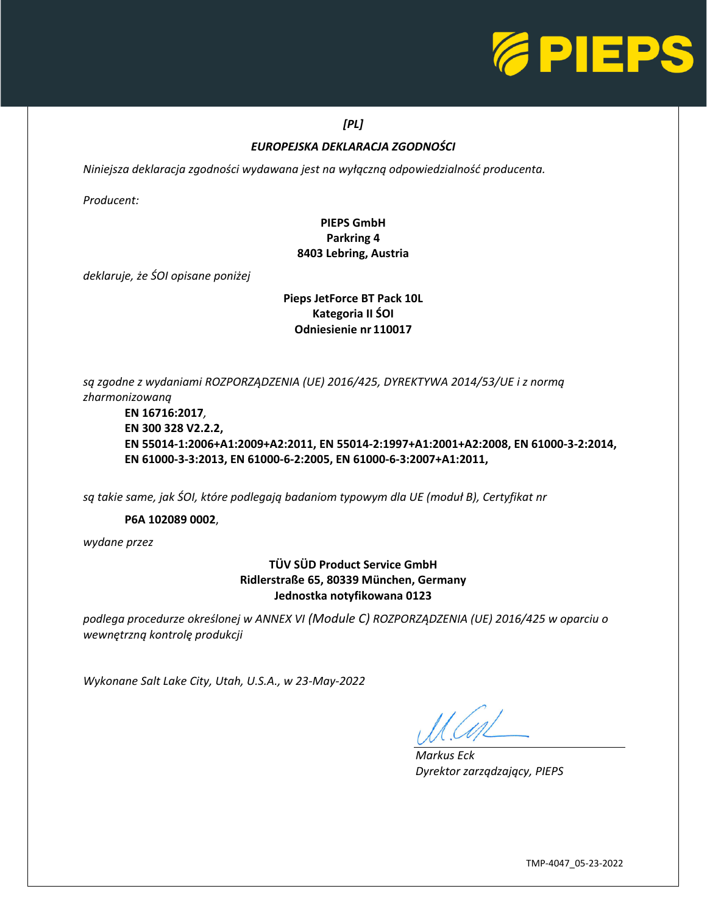

## *[PL]*

## *EUROPEJSKA DEKLARACJA ZGODNOŚCI*

*Niniejsza deklaracja zgodności wydawana jest na wyłączną odpowiedzialność producenta.* 

*Producent:*

## **PIEPS GmbH Parkring 4 8403 Lebring, Austria**

*deklaruje, że ŚOI opisane poniżej*

### **Pieps JetForce BT Pack 10L Kategoria II ŚOI Odniesienie nr 110017**

*są zgodne z wydaniami ROZPORZĄDZENIA (UE) 2016/425, DYREKTYWA 2014/53/UE i z normą zharmonizowaną*

**EN 16716:2017***,* **EN 300 328 V2.2.2, EN 55014-1:2006+A1:2009+A2:2011, EN 55014-2:1997+A1:2001+A2:2008, EN 61000-3-2:2014, EN 61000-3-3:2013, EN 61000-6-2:2005, EN 61000-6-3:2007+A1:2011,**

*są takie same, jak ŚOI, które podlegają badaniom typowym dla UE (moduł B), Certyfikat nr*

**P6A 102089 0002**,

*wydane przez*

## **TÜV SÜD Product Service GmbH Ridlerstraße 65, 80339 München, Germany Jednostka notyfikowana 0123**

*podlega procedurze określonej w ANNEX VI (Module C) ROZPORZĄDZENIA (UE) 2016/425 w oparciu o wewnętrzną kontrolę produkcji*

*Wykonane Salt Lake City, Utah, U.S.A., w 23-May-2022*

L

*Markus Eck Dyrektor zarządzający, PIEPS*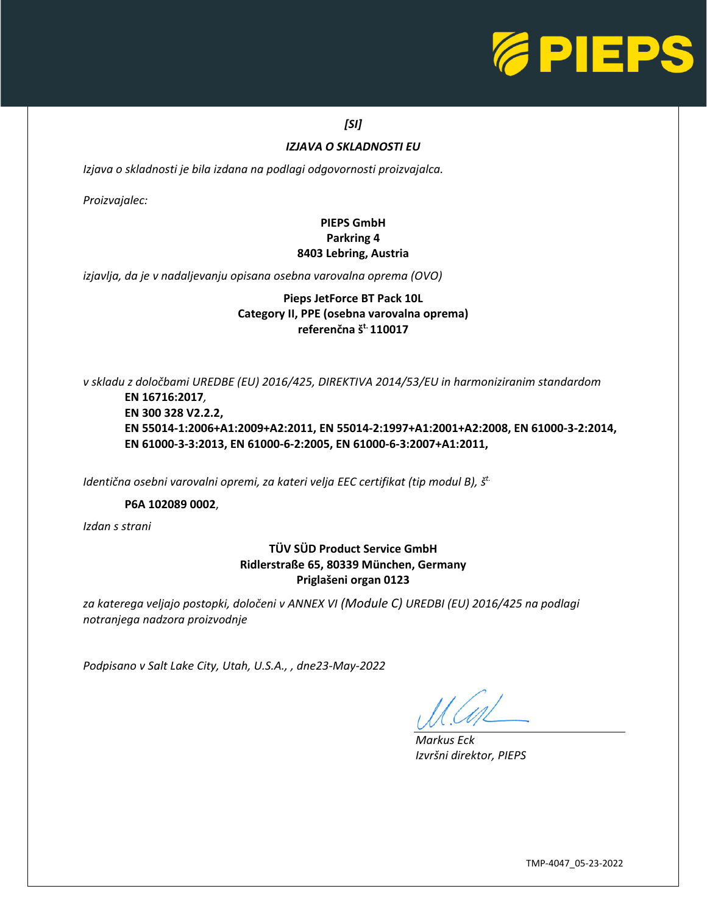

## *[SI]*

#### *IZJAVA O SKLADNOSTI EU*

*Izjava o skladnosti je bila izdana na podlagi odgovornosti proizvajalca.* 

*Proizvajalec:*

## **PIEPS GmbH Parkring 4 8403 Lebring, Austria**

*izjavlja, da je v nadaljevanju opisana osebna varovalna oprema (OVO)*

### **Pieps JetForce BT Pack 10L Category II, PPE (osebna varovalna oprema) referenčna št. 110017**

*v skladu z določbami UREDBE (EU) 2016/425, DIREKTIVA 2014/53/EU in harmoniziranim standardom*

**EN 16716:2017***,* **EN 300 328 V2.2.2, EN 55014-1:2006+A1:2009+A2:2011, EN 55014-2:1997+A1:2001+A2:2008, EN 61000-3-2:2014, EN 61000-3-3:2013, EN 61000-6-2:2005, EN 61000-6-3:2007+A1:2011,**

*Identična osebni varovalni opremi, za kateri velja EEC certifikat (tip modul B), š t.*

#### **P6A 102089 0002**,

*Izdan s strani*

## **TÜV SÜD Product Service GmbH Ridlerstraße 65, 80339 München, Germany Priglašeni organ 0123**

*za katerega veljajo postopki, določeni v ANNEX VI (Module C) UREDBI (EU) 2016/425 na podlagi notranjega nadzora proizvodnje*

*Podpisano v Salt Lake City, Utah, U.S.A., , dne23-May-2022*

*Markus Eck Izvršni direktor, PIEPS*

 $\overline{\phantom{0}}$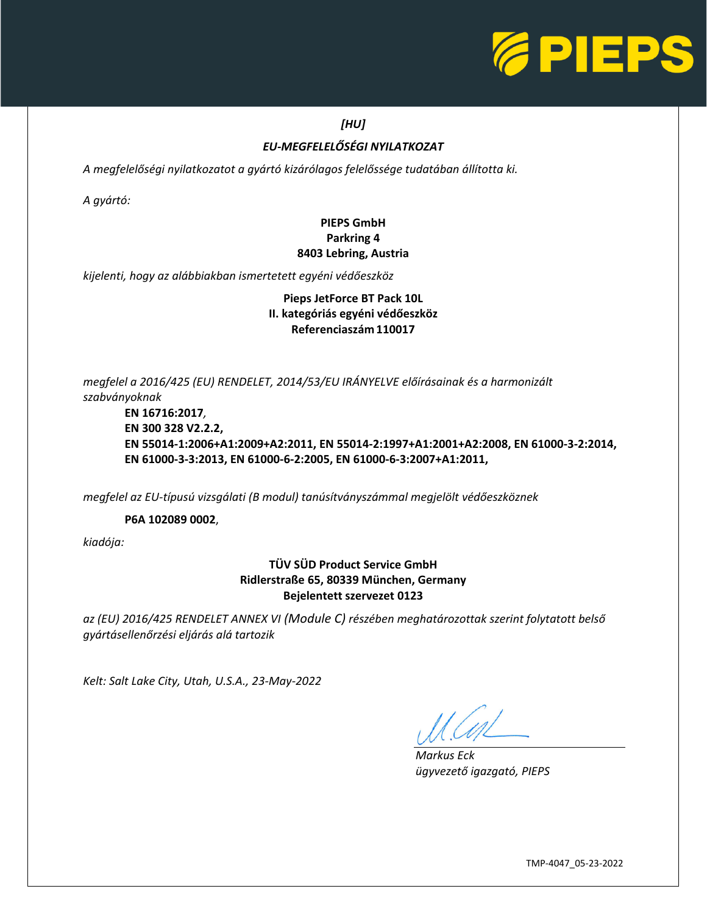

## *[HU]*

## *EU-MEGFELELŐSÉGI NYILATKOZAT*

*A megfelelőségi nyilatkozatot a gyártó kizárólagos felelőssége tudatában állította ki.* 

*A gyártó:*

## **PIEPS GmbH Parkring 4 8403 Lebring, Austria**

*kijelenti, hogy az alábbiakban ismertetett egyéni védőeszköz*

## **Pieps JetForce BT Pack 10L II. kategóriás egyéni védőeszköz Referenciaszám 110017**

*megfelel a 2016/425 (EU) RENDELET, 2014/53/EU IRÁNYELVE előírásainak és a harmonizált szabványoknak*

**EN 16716:2017***,* **EN 300 328 V2.2.2, EN 55014-1:2006+A1:2009+A2:2011, EN 55014-2:1997+A1:2001+A2:2008, EN 61000-3-2:2014, EN 61000-3-3:2013, EN 61000-6-2:2005, EN 61000-6-3:2007+A1:2011,**

*megfelel az EU-típusú vizsgálati (B modul) tanúsítványszámmal megjelölt védőeszköznek*

**P6A 102089 0002**,

*kiadója:*

## **TÜV SÜD Product Service GmbH Ridlerstraße 65, 80339 München, Germany Bejelentett szervezet 0123**

*az (EU) 2016/425 RENDELET ANNEX VI (Module C) részében meghatározottak szerint folytatott belső gyártásellenőrzési eljárás alá tartozik*

*Kelt: Salt Lake City, Utah, U.S.A., 23-May-2022*

L

*Markus Eck ügyvezető igazgató, PIEPS*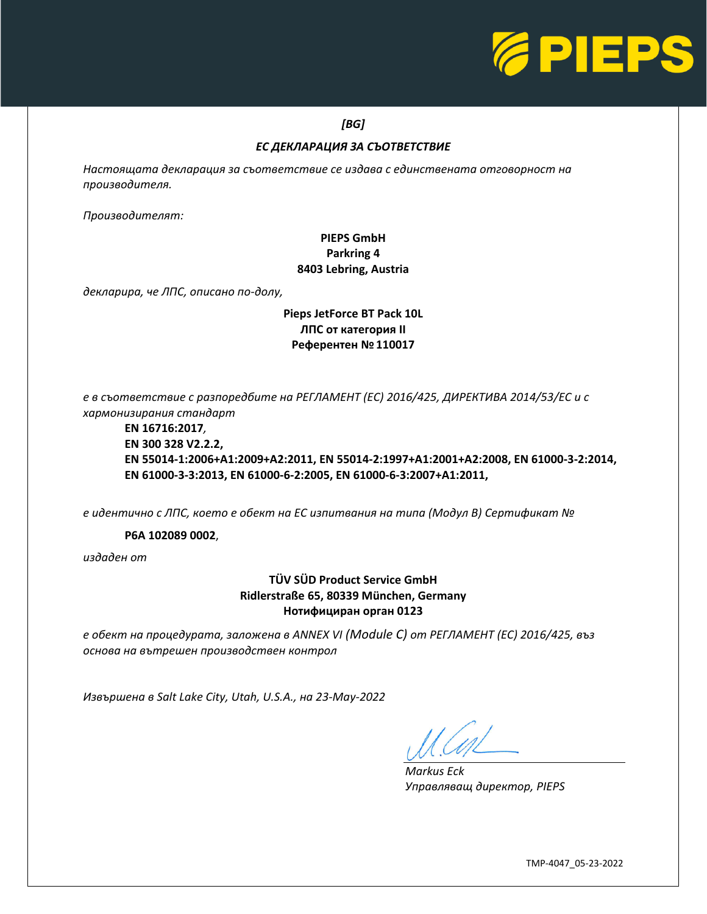

#### *[BG]*

## *ЕС ДЕКЛАРАЦИЯ ЗА СЪОТВЕТСТВИЕ*

*Настоящата декларация за съответствие се издава с единствената отговорност на производителя.* 

*Производителят:*

## **PIEPS GmbH Parkring 4 8403 Lebring, Austria**

*декларира, че ЛПС, описано по-долу,*

## **Pieps JetForce BT Pack 10L ЛПС от категория II Референтен №110017**

*е в съответствие с разпоредбите на РЕГЛАМЕНТ (ЕС) 2016/425, ДИРЕКТИВА 2014/53/ЕС и с хармонизирания стандарт*

**EN 16716:2017***,* **EN 300 328 V2.2.2, EN 55014-1:2006+A1:2009+A2:2011, EN 55014-2:1997+A1:2001+A2:2008, EN 61000-3-2:2014, EN 61000-3-3:2013, EN 61000-6-2:2005, EN 61000-6-3:2007+A1:2011,**

*е идентично с ЛПС, което е обект на ЕС изпитвания на типа (Модул B) Сертификат №*

**P6A 102089 0002**,

*издаден от*

## **TÜV SÜD Product Service GmbH Ridlerstraße 65, 80339 München, Germany Нотифициран орган 0123**

*е обект на процедурата, заложена в ANNEX VI (Module C) от РЕГЛАМЕНТ (ЕС) 2016/425, въз основа на вътрешен производствен контрол*

*Извършена в Salt Lake City, Utah, U.S.A., на 23-May-2022*

L

*Markus Eck Управляващ директор, PIEPS*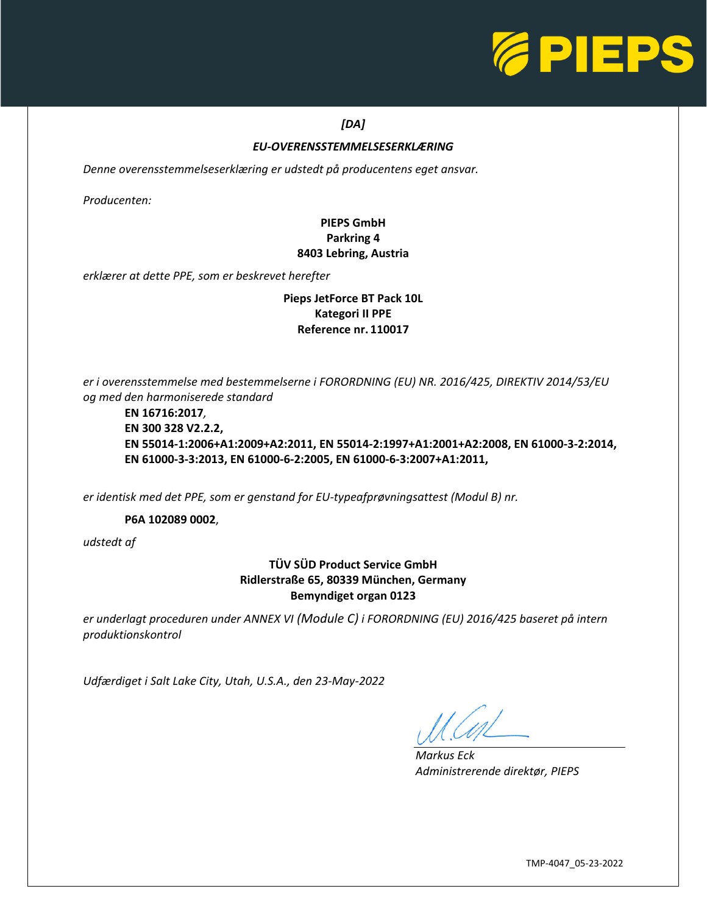

## *[DA]*

#### *EU-OVERENSSTEMMELSESERKLÆRING*

*Denne overensstemmelseserklæring er udstedt på producentens eget ansvar.* 

*Producenten:*

## **PIEPS GmbH Parkring 4 8403 Lebring, Austria**

*erklærer at dette PPE, som er beskrevet herefter*

#### **Pieps JetForce BT Pack 10L Kategori II PPE Reference nr. 110017**

*er i overensstemmelse med bestemmelserne i FORORDNING (EU) NR. 2016/425, DIREKTIV 2014/53/EU og med den harmoniserede standard*

#### **EN 16716:2017***,* **EN 300 328 V2.2.2, EN 55014-1:2006+A1:2009+A2:2011, EN 55014-2:1997+A1:2001+A2:2008, EN 61000-3-2:2014, EN 61000-3-3:2013, EN 61000-6-2:2005, EN 61000-6-3:2007+A1:2011,**

*er identisk med det PPE, som er genstand for EU-typeafprøvningsattest (Modul B) nr.*

**P6A 102089 0002**,

*udstedt af*

### **TÜV SÜD Product Service GmbH Ridlerstraße 65, 80339 München, Germany Bemyndiget organ 0123**

*er underlagt proceduren under ANNEX VI (Module C) i FORORDNING (EU) 2016/425 baseret på intern produktionskontrol*

*Udfærdiget i Salt Lake City, Utah, U.S.A., den 23-May-2022*

L

*Markus Eck Administrerende direktør, PIEPS*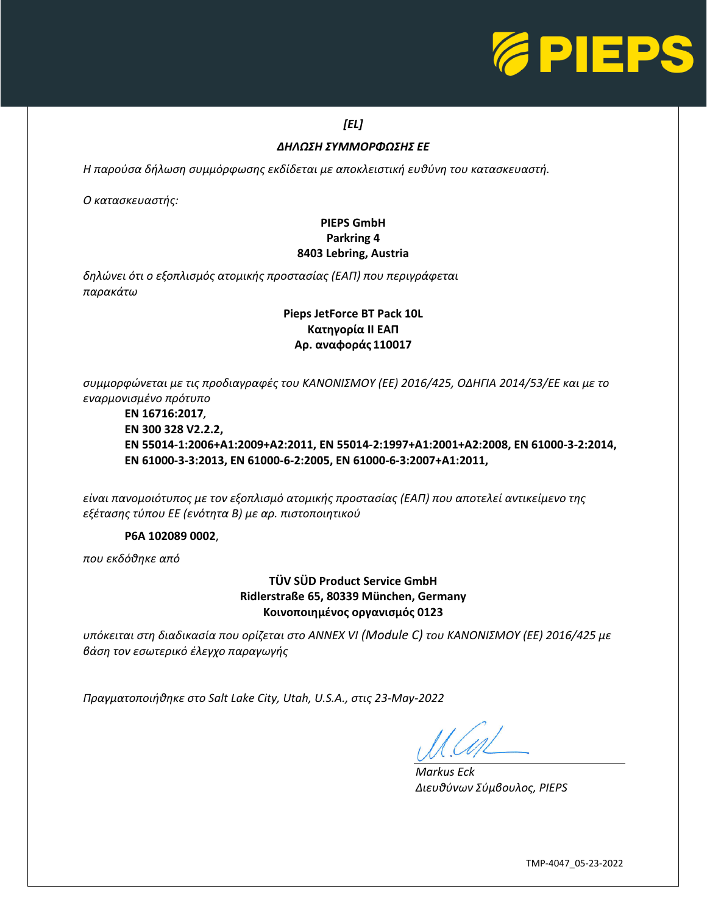

## *[EL]*

## *ΔΗΛΩΣΗ ΣΥΜΜΟΡΦΩΣΗΣ ΕΕ*

*Η παρούσα δήλωση συμμόρφωσης εκδίδεται με αποκλειστική ευθύνη του κατασκευαστή.* 

*Ο κατασκευαστής:*

## **PIEPS GmbH Parkring 4 8403 Lebring, Austria**

*δηλώνει ότι ο εξοπλισμός ατομικής προστασίας (ΕΑΠ) που περιγράφεται παρακάτω*

## **Pieps JetForce BT Pack 10L Κατηγορία II ΕΑΠ Αρ. αναφοράς 110017**

*συμμορφώνεται με τις προδιαγραφές του ΚΑΝΟΝΙΣΜΟΥ (ΕΕ) 2016/425, ΟΔΗΓΙΑ 2014/53/ΕΕ και με το εναρμονισμένο πρότυπο*

**EN 16716:2017***,* **EN 300 328 V2.2.2, EN 55014-1:2006+A1:2009+A2:2011, EN 55014-2:1997+A1:2001+A2:2008, EN 61000-3-2:2014, EN 61000-3-3:2013, EN 61000-6-2:2005, EN 61000-6-3:2007+A1:2011,**

*είναι πανομοιότυπος με τον εξοπλισμό ατομικής προστασίας (ΕΑΠ) που αποτελεί αντικείμενο της εξέτασης τύπου EΕ (ενότητα B) με αρ. πιστοποιητικού*

#### **P6A 102089 0002**,

*που εκδόθηκε από*

### **TÜV SÜD Product Service GmbH Ridlerstraße 65, 80339 München, Germany Κοινοποιημένος οργανισμός 0123**

*υπόκειται στη διαδικασία που ορίζεται στο ANNEX VI (Module C) του ΚΑΝΟΝΙΣΜΟΥ (EΕ) 2016/425 με βάση τον εσωτερικό έλεγχο παραγωγής*

*Πραγματοποιήθηκε στο Salt Lake City, Utah, U.S.A., στις 23-May-2022*

L

*Markus Eck Διευθύνων Σύμβουλος, PIEPS*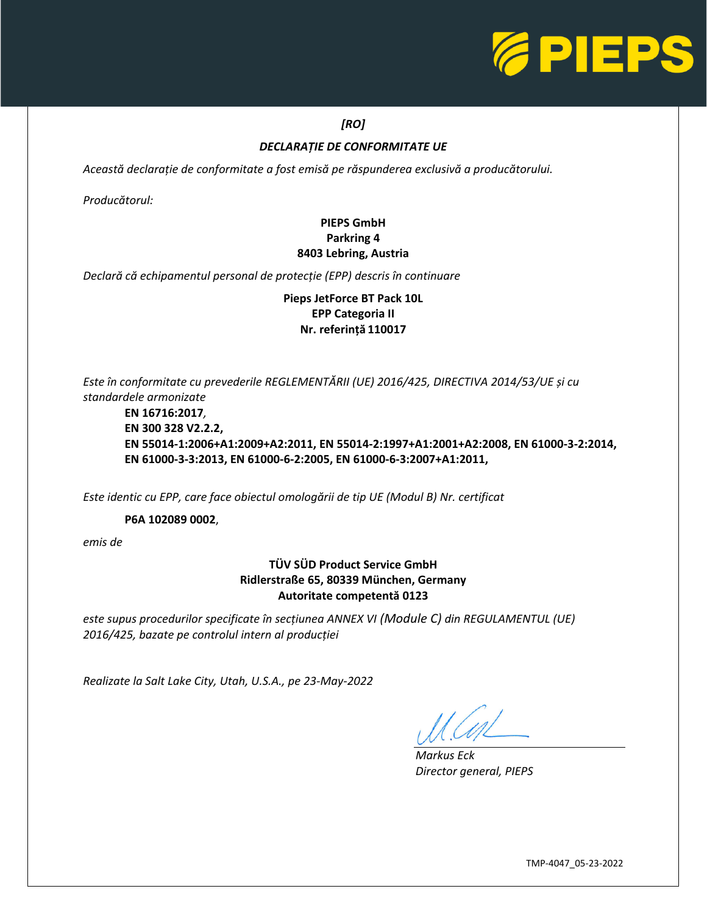

## *[RO]*

### *DECLARAȚIE DE CONFORMITATE UE*

*Această declarație de conformitate a fost emisă pe răspunderea exclusivă a producătorului.* 

*Producătorul:*

## **PIEPS GmbH Parkring 4 8403 Lebring, Austria**

*Declară că echipamentul personal de protecție (EPP) descris în continuare*

**Pieps JetForce BT Pack 10L EPP Categoria II Nr. referință 110017**

*Este în conformitate cu prevederile REGLEMENTĂRII (UE) 2016/425, DIRECTIVA 2014/53/UE și cu standardele armonizate*

**EN 16716:2017***,* **EN 300 328 V2.2.2, EN 55014-1:2006+A1:2009+A2:2011, EN 55014-2:1997+A1:2001+A2:2008, EN 61000-3-2:2014, EN 61000-3-3:2013, EN 61000-6-2:2005, EN 61000-6-3:2007+A1:2011,**

*Este identic cu EPP, care face obiectul omologării de tip UE (Modul B) Nr. certificat*

**P6A 102089 0002**,

*emis de*

## **TÜV SÜD Product Service GmbH Ridlerstraße 65, 80339 München, Germany Autoritate competentă 0123**

*este supus procedurilor specificate în secțiunea ANNEX VI (Module C) din REGULAMENTUL (UE) 2016/425, bazate pe controlul intern al producției*

*Realizate la Salt Lake City, Utah, U.S.A., pe 23-May-2022*

*Markus Eck Director general, PIEPS*

L